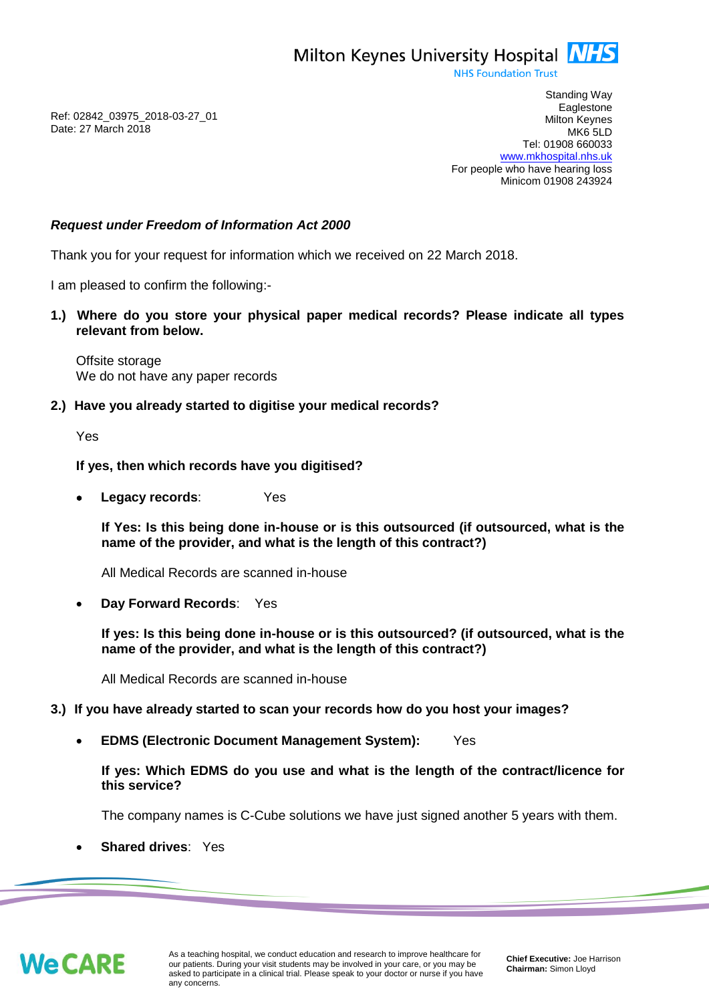

**NHS Foundation Trust** 

Ref: 02842\_03975\_2018-03-27\_01 Date: 27 March 2018

Standing Way **Eaglestone** Milton Keynes MK6 5LD Tel: 01908 660033 [www.mkhospital.nhs.uk](http://www.mkhospital.nhs.uk/) For people who have hearing loss Minicom 01908 243924

## *Request under Freedom of Information Act 2000*

Thank you for your request for information which we received on 22 March 2018.

I am pleased to confirm the following:-

**1.) Where do you store your physical paper medical records? Please indicate all types relevant from below.**

Offsite storage We do not have any paper records

**2.) Have you already started to digitise your medical records?** 

Yes

## **If yes, then which records have you digitised?**

 **Legacy records**: Yes

**If Yes: Is this being done in-house or is this outsourced (if outsourced, what is the name of the provider, and what is the length of this contract?)** 

All Medical Records are scanned in-house

**Day Forward Records**: Yes

**If yes: Is this being done in-house or is this outsourced? (if outsourced, what is the name of the provider, and what is the length of this contract?)** 

All Medical Records are scanned in-house

## **3.) If you have already started to scan your records how do you host your images?**

**EDMS (Electronic Document Management System):** Yes

**If yes: Which EDMS do you use and what is the length of the contract/licence for this service?**

The company names is C-Cube solutions we have just signed another 5 years with them.

**Shared drives**: Yes